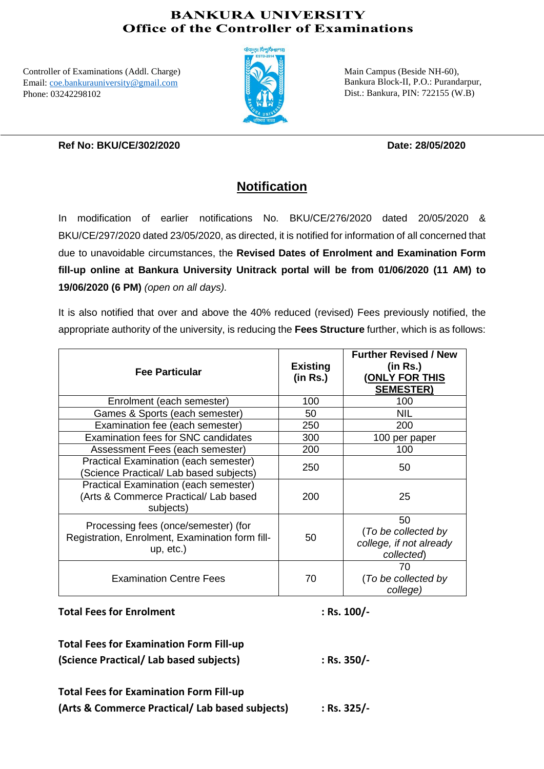## **BANKURA UNIVERSITY Office of the Controller of Examinations**

Controller of Examinations (Addl. Charge) Email: [coe.bankurauniversity@gmail.com](mailto:coe.bankurauniversity@gmail.com) Phone: 03242298102



Main Campus (Beside NH-60), Bankura Block-II, P.O.: Purandarpur, Dist.: Bankura, PIN: 722155 (W.B)

### **Ref No: BKU/CE/302/2020 Date: 28/05/2020**

# **Notification**

In modification of earlier notifications No. BKU/CE/276/2020 dated 20/05/2020 & BKU/CE/297/2020 dated 23/05/2020, as directed, it is notified for information of all concerned that due to unavoidable circumstances, the **Revised Dates of Enrolment and Examination Form fill-up online at Bankura University Unitrack portal will be from 01/06/2020 (11 AM) to 19/06/2020 (6 PM)** *(open on all days).*

It is also notified that over and above the 40% reduced (revised) Fees previously notified, the appropriate authority of the university, is reducing the **Fees Structure** further, which is as follows:

| <b>Fee Particular</b>                                                                                   | <b>Existing</b><br>(in Rs.) | <b>Further Revised / New</b><br>(in Rs.)<br><b>(ONLY FOR THIS</b><br><b>SEMESTER)</b> |
|---------------------------------------------------------------------------------------------------------|-----------------------------|---------------------------------------------------------------------------------------|
| Enrolment (each semester)                                                                               | 100                         | 100                                                                                   |
| Games & Sports (each semester)                                                                          | 50                          | <b>NIL</b>                                                                            |
| Examination fee (each semester)                                                                         | 250                         | 200                                                                                   |
| Examination fees for SNC candidates                                                                     | 300                         | 100 per paper                                                                         |
| Assessment Fees (each semester)                                                                         | 200                         | 100                                                                                   |
| Practical Examination (each semester)<br>Science Practical/ Lab based subjects)                         | 250                         | 50                                                                                    |
| Practical Examination (each semester)<br>(Arts & Commerce Practical/ Lab based<br>subjects)             | 200                         | 25                                                                                    |
| Processing fees (once/semester) (for<br>Registration, Enrolment, Examination form fill-<br>$up, etc.$ ) | 50                          | 50<br>(To be collected by<br>college, if not already<br>collected)                    |
| <b>Examination Centre Fees</b>                                                                          | 70                          | 70<br>(To be collected by<br>college)                                                 |

Total Fees for Enrolment : Rs. 100/-

**Total Fees for Examination Form Fill-up (Science Practical/ Lab based subjects) : Rs. 350/-**

**Total Fees for Examination Form Fill-up (Arts & Commerce Practical/ Lab based subjects) : Rs. 325/-**